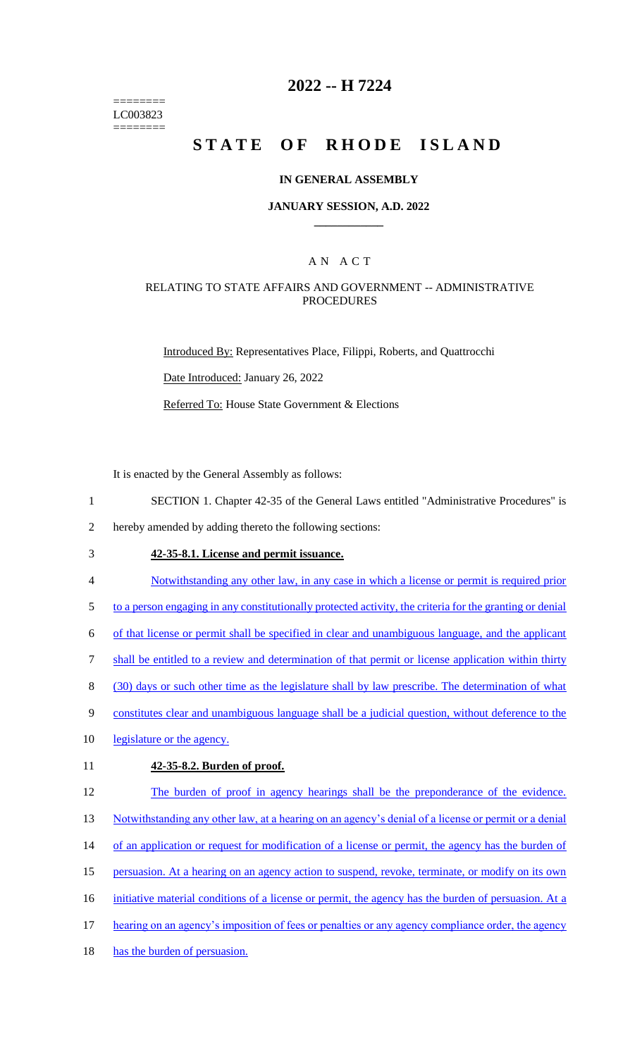======== LC003823 ========

## **2022 -- H 7224**

# **STATE OF RHODE ISLAND**

#### **IN GENERAL ASSEMBLY**

### **JANUARY SESSION, A.D. 2022 \_\_\_\_\_\_\_\_\_\_\_\_**

### A N A C T

### RELATING TO STATE AFFAIRS AND GOVERNMENT -- ADMINISTRATIVE **PROCEDURES**

Introduced By: Representatives Place, Filippi, Roberts, and Quattrocchi Date Introduced: January 26, 2022

Referred To: House State Government & Elections

It is enacted by the General Assembly as follows:

1 SECTION 1. Chapter 42-35 of the General Laws entitled "Administrative Procedures" is

2 hereby amended by adding thereto the following sections:

- 3 **42-35-8.1. License and permit issuance.**
- 4 Notwithstanding any other law, in any case in which a license or permit is required prior

5 to a person engaging in any constitutionally protected activity, the criteria for the granting or denial

6 of that license or permit shall be specified in clear and unambiguous language, and the applicant

7 shall be entitled to a review and determination of that permit or license application within thirty

8 (30) days or such other time as the legislature shall by law prescribe. The determination of what

- 9 constitutes clear and unambiguous language shall be a judicial question, without deference to the
- 10 legislature or the agency.

### 11 **42-35-8.2. Burden of proof.**

12 The burden of proof in agency hearings shall be the preponderance of the evidence. 13 Notwithstanding any other law, at a hearing on an agency's denial of a license or permit or a denial 14 of an application or request for modification of a license or permit, the agency has the burden of 15 persuasion. At a hearing on an agency action to suspend, revoke, terminate, or modify on its own 16 initiative material conditions of a license or permit, the agency has the burden of persuasion. At a 17 hearing on an agency's imposition of fees or penalties or any agency compliance order, the agency 18 has the burden of persuasion.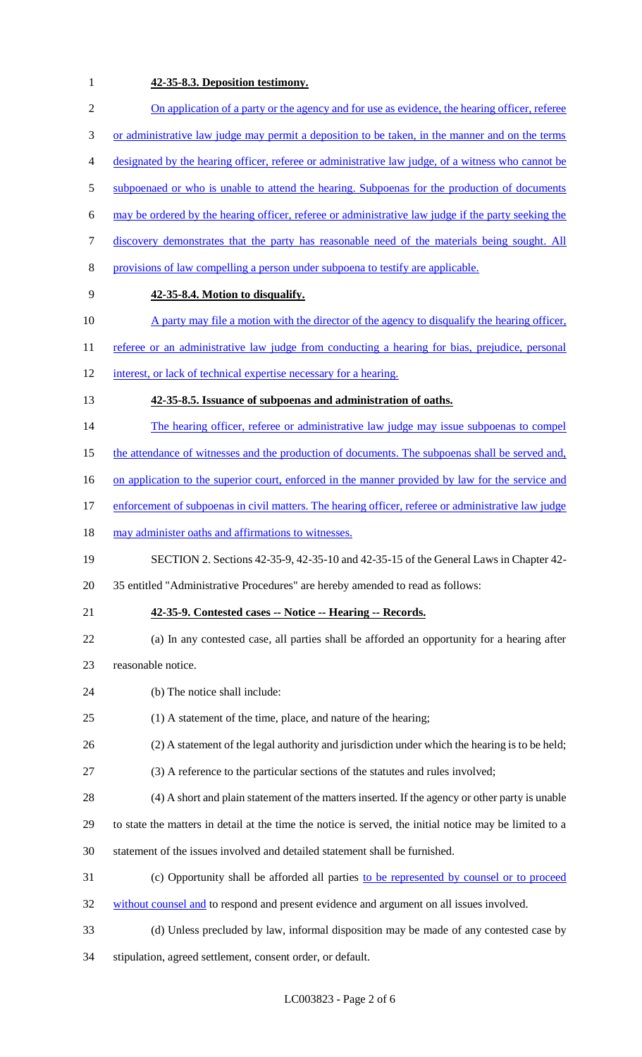## 1 **42-35-8.3. Deposition testimony.**

| $\overline{2}$ | On application of a party or the agency and for use as evidence, the hearing officer, referee           |
|----------------|---------------------------------------------------------------------------------------------------------|
| $\mathfrak{Z}$ | or administrative law judge may permit a deposition to be taken, in the manner and on the terms         |
| $\overline{4}$ | designated by the hearing officer, referee or administrative law judge, of a witness who cannot be      |
| $\mathfrak{S}$ | subpoenaed or who is unable to attend the hearing. Subpoenas for the production of documents            |
| 6              | may be ordered by the hearing officer, referee or administrative law judge if the party seeking the     |
| $\tau$         | discovery demonstrates that the party has reasonable need of the materials being sought. All            |
| 8              | provisions of law compelling a person under subpoena to testify are applicable.                         |
| 9              | 42-35-8.4. Motion to disqualify.                                                                        |
| 10             | A party may file a motion with the director of the agency to disqualify the hearing officer,            |
| 11             | referee or an administrative law judge from conducting a hearing for bias, prejudice, personal          |
| 12             | interest, or lack of technical expertise necessary for a hearing.                                       |
| 13             | 42-35-8.5. Issuance of subpoenas and administration of oaths.                                           |
| 14             | The hearing officer, referee or administrative law judge may issue subpoenas to compel                  |
| 15             | the attendance of witnesses and the production of documents. The subpoenas shall be served and,         |
| 16             | on application to the superior court, enforced in the manner provided by law for the service and        |
| 17             | enforcement of subpoenas in civil matters. The hearing officer, referee or administrative law judge     |
| 18             | may administer oaths and affirmations to witnesses.                                                     |
| 19             | SECTION 2. Sections 42-35-9, 42-35-10 and 42-35-15 of the General Laws in Chapter 42-                   |
| 20             | 35 entitled "Administrative Procedures" are hereby amended to read as follows:                          |
| 21             | 42-35-9. Contested cases -- Notice -- Hearing -- Records.                                               |
| 22             | (a) In any contested case, all parties shall be afforded an opportunity for a hearing after             |
| 23             | reasonable notice.                                                                                      |
| 24             | (b) The notice shall include:                                                                           |
| 25             | (1) A statement of the time, place, and nature of the hearing;                                          |
| 26             | (2) A statement of the legal authority and jurisdiction under which the hearing is to be held;          |
| 27             | (3) A reference to the particular sections of the statutes and rules involved;                          |
| 28             | (4) A short and plain statement of the matters inserted. If the agency or other party is unable         |
| 29             | to state the matters in detail at the time the notice is served, the initial notice may be limited to a |
| 30             | statement of the issues involved and detailed statement shall be furnished.                             |
| 31             | (c) Opportunity shall be afforded all parties to be represented by counsel or to proceed                |
| 32             | without counsel and to respond and present evidence and argument on all issues involved.                |
| 33             | (d) Unless precluded by law, informal disposition may be made of any contested case by                  |
| 34             | stipulation, agreed settlement, consent order, or default.                                              |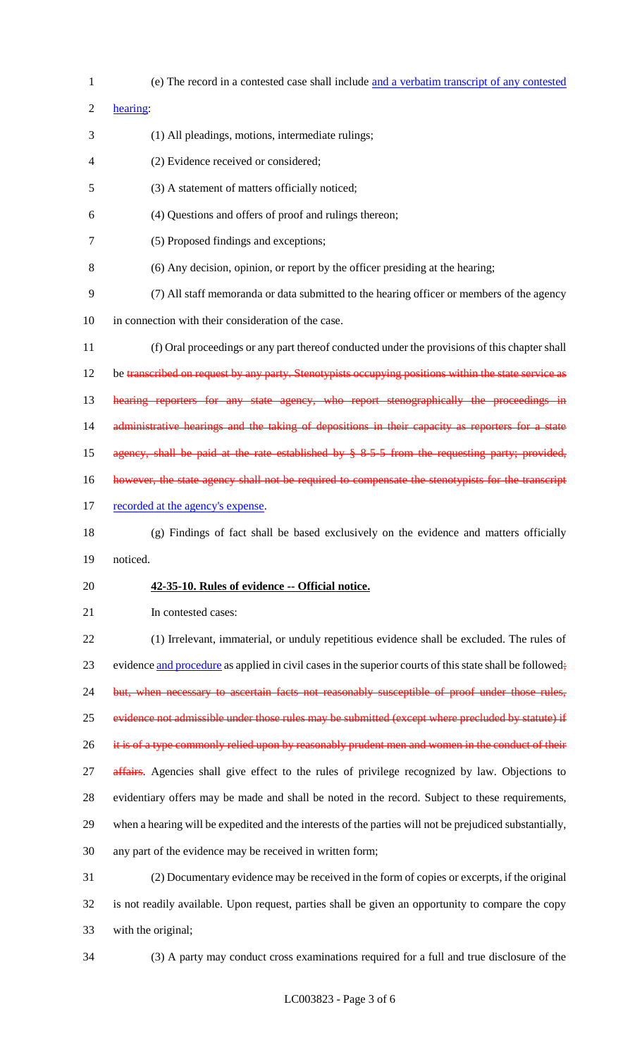| $\mathbf{1}$   | (e) The record in a contested case shall include and a verbatim transcript of any contested              |
|----------------|----------------------------------------------------------------------------------------------------------|
| $\overline{2}$ | hearing:                                                                                                 |
| 3              | (1) All pleadings, motions, intermediate rulings;                                                        |
| 4              | (2) Evidence received or considered;                                                                     |
| 5              | (3) A statement of matters officially noticed;                                                           |
| 6              | (4) Questions and offers of proof and rulings thereon;                                                   |
| 7              | (5) Proposed findings and exceptions;                                                                    |
| 8              | (6) Any decision, opinion, or report by the officer presiding at the hearing;                            |
| 9              | (7) All staff memoranda or data submitted to the hearing officer or members of the agency                |
| 10             | in connection with their consideration of the case.                                                      |
| 11             | (f) Oral proceedings or any part thereof conducted under the provisions of this chapter shall            |
| 12             | be transcribed on request by any party. Stenotypists occupying positions within the state service as     |
| 13             | hearing reporters for any state agency, who report stenographically the proceedings in                   |
| 14             | administrative hearings and the taking of depositions in their capacity as reporters for a state         |
| 15             | agency, shall be paid at the rate established by $§ 8.5.5$ from the requesting party; provided,          |
| 16             | however, the state agency shall not be required to compensate the stenotypists for the transcript        |
| 17             | recorded at the agency's expense.                                                                        |
| 18             | (g) Findings of fact shall be based exclusively on the evidence and matters officially                   |
| 19             | noticed.                                                                                                 |
| 20             | 42-35-10. Rules of evidence -- Official notice.                                                          |
| 21             | In contested cases:                                                                                      |
| 22             | (1) Irrelevant, immaterial, or unduly repetitious evidence shall be excluded. The rules of               |
| 23             | evidence and procedure as applied in civil cases in the superior courts of this state shall be followed; |
| 24             | but, when necessary to ascertain facts not reasonably susceptible of proof under those rules,            |
| 25             | evidence not admissible under those rules may be submitted (except where precluded by statute) if        |
| 26             | it is of a type commonly relied upon by reasonably prudent men and women in the conduct of their         |
| 27             | affairs. Agencies shall give effect to the rules of privilege recognized by law. Objections to           |
| 28             | evidentiary offers may be made and shall be noted in the record. Subject to these requirements,          |
| 29             | when a hearing will be expedited and the interests of the parties will not be prejudiced substantially,  |
| 30             | any part of the evidence may be received in written form;                                                |
| 31             | (2) Documentary evidence may be received in the form of copies or excerpts, if the original              |
| 32             | is not readily available. Upon request, parties shall be given an opportunity to compare the copy        |
| 33             | with the original;                                                                                       |
|                |                                                                                                          |

(3) A party may conduct cross examinations required for a full and true disclosure of the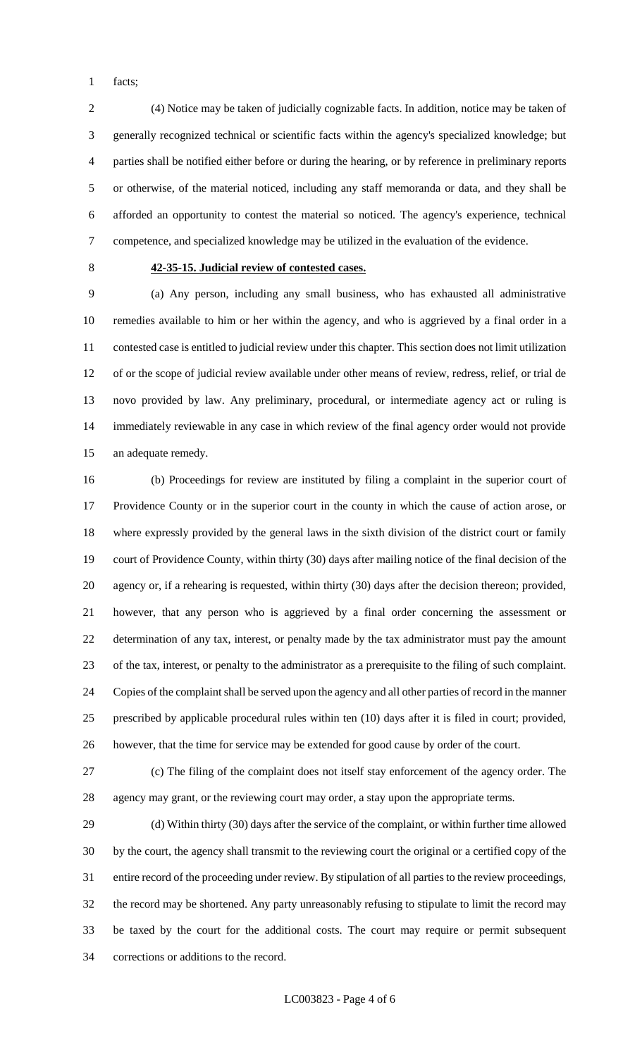facts;

 (4) Notice may be taken of judicially cognizable facts. In addition, notice may be taken of generally recognized technical or scientific facts within the agency's specialized knowledge; but parties shall be notified either before or during the hearing, or by reference in preliminary reports or otherwise, of the material noticed, including any staff memoranda or data, and they shall be afforded an opportunity to contest the material so noticed. The agency's experience, technical competence, and specialized knowledge may be utilized in the evaluation of the evidence.

## **42-35-15. Judicial review of contested cases.**

 (a) Any person, including any small business, who has exhausted all administrative remedies available to him or her within the agency, and who is aggrieved by a final order in a contested case is entitled to judicial review under this chapter. This section does not limit utilization of or the scope of judicial review available under other means of review, redress, relief, or trial de novo provided by law. Any preliminary, procedural, or intermediate agency act or ruling is immediately reviewable in any case in which review of the final agency order would not provide an adequate remedy.

 (b) Proceedings for review are instituted by filing a complaint in the superior court of Providence County or in the superior court in the county in which the cause of action arose, or where expressly provided by the general laws in the sixth division of the district court or family court of Providence County, within thirty (30) days after mailing notice of the final decision of the agency or, if a rehearing is requested, within thirty (30) days after the decision thereon; provided, however, that any person who is aggrieved by a final order concerning the assessment or determination of any tax, interest, or penalty made by the tax administrator must pay the amount of the tax, interest, or penalty to the administrator as a prerequisite to the filing of such complaint. Copies of the complaint shall be served upon the agency and all other parties of record in the manner prescribed by applicable procedural rules within ten (10) days after it is filed in court; provided, however, that the time for service may be extended for good cause by order of the court.

 (c) The filing of the complaint does not itself stay enforcement of the agency order. The agency may grant, or the reviewing court may order, a stay upon the appropriate terms.

 (d) Within thirty (30) days after the service of the complaint, or within further time allowed by the court, the agency shall transmit to the reviewing court the original or a certified copy of the entire record of the proceeding under review. By stipulation of all parties to the review proceedings, the record may be shortened. Any party unreasonably refusing to stipulate to limit the record may be taxed by the court for the additional costs. The court may require or permit subsequent corrections or additions to the record.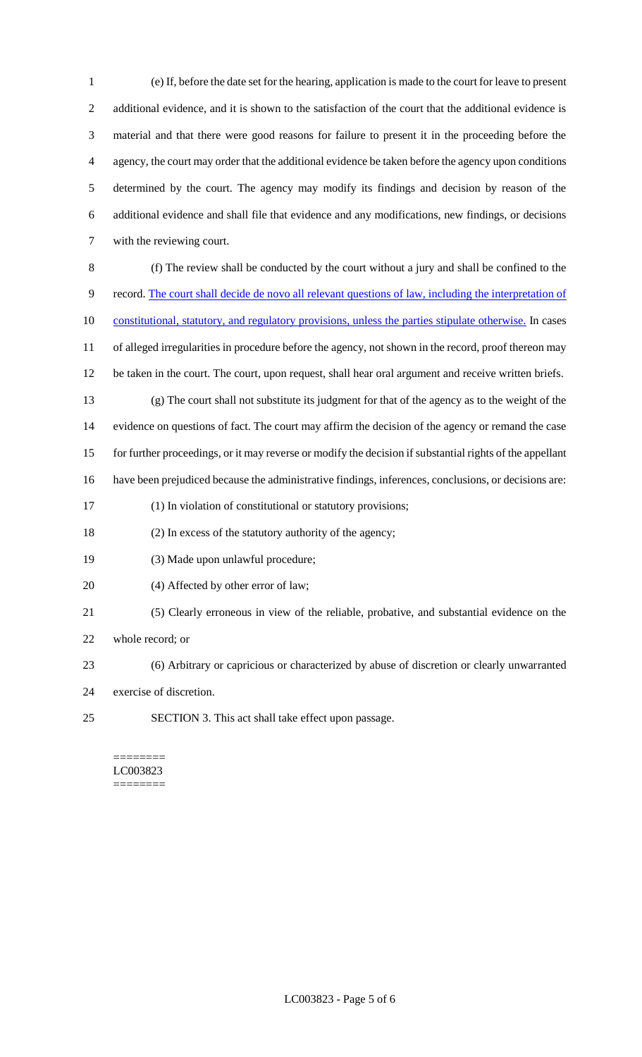(e) If, before the date set for the hearing, application is made to the court for leave to present additional evidence, and it is shown to the satisfaction of the court that the additional evidence is material and that there were good reasons for failure to present it in the proceeding before the agency, the court may order that the additional evidence be taken before the agency upon conditions determined by the court. The agency may modify its findings and decision by reason of the additional evidence and shall file that evidence and any modifications, new findings, or decisions with the reviewing court.

- (f) The review shall be conducted by the court without a jury and shall be confined to the record. The court shall decide de novo all relevant questions of law, including the interpretation of 10 constitutional, statutory, and regulatory provisions, unless the parties stipulate otherwise. In cases of alleged irregularities in procedure before the agency, not shown in the record, proof thereon may be taken in the court. The court, upon request, shall hear oral argument and receive written briefs. (g) The court shall not substitute its judgment for that of the agency as to the weight of the evidence on questions of fact. The court may affirm the decision of the agency or remand the case for further proceedings, or it may reverse or modify the decision if substantial rights of the appellant have been prejudiced because the administrative findings, inferences, conclusions, or decisions are: (1) In violation of constitutional or statutory provisions;
- (2) In excess of the statutory authority of the agency;
- (3) Made upon unlawful procedure;
- 20 (4) Affected by other error of law;
- (5) Clearly erroneous in view of the reliable, probative, and substantial evidence on the
- whole record; or
- (6) Arbitrary or capricious or characterized by abuse of discretion or clearly unwarranted
- exercise of discretion.
- SECTION 3. This act shall take effect upon passage.

======== LC003823 ========